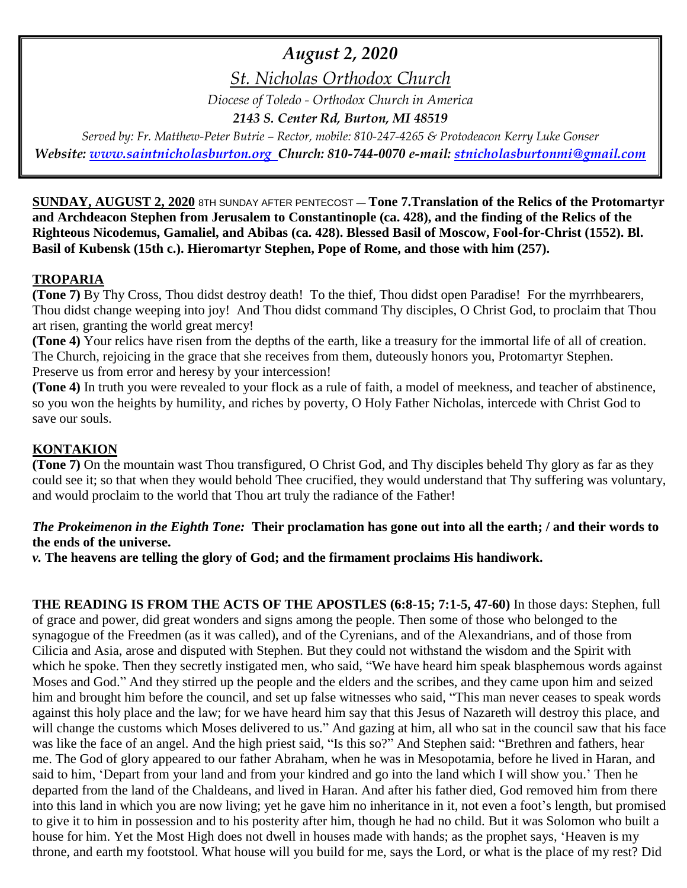# *August 2, 2020*

*St. Nicholas Orthodox Church*

*Diocese of Toledo - Orthodox Church in America*

*2143 S. Center Rd, Burton, MI 48519*

*Served by: Fr. Matthew-Peter Butrie – Rector, mobile: 810-247-4265 & Protodeacon Kerry Luke Gonser Website: [www.saintnicholasburton.org](http://www.saintnicholasburton.org/) Church: 810-744-0070 e-mail: [stnicholasburtonmi@gmail.com](mailto:stnicholasburtonmi@gmail.com)*

**SUNDAY, AUGUST 2, 2020** 8TH SUNDAY AFTER PENTECOST — **Tone 7.Translation of the Relics of the Protomartyr and Archdeacon Stephen from Jerusalem to Constantinople (ca. 428), and the finding of the Relics of the Righteous Nicodemus, Gamaliel, and Abibas (ca. 428). Blessed Basil of Moscow, Fool-for-Christ (1552). Bl. Basil of Kubensk (15th c.). Hieromartyr Stephen, Pope of Rome, and those with him (257).**

### **TROPARIA**

**(Tone 7)** By Thy Cross, Thou didst destroy death! To the thief, Thou didst open Paradise! For the myrrhbearers, Thou didst change weeping into joy! And Thou didst command Thy disciples, O Christ God, to proclaim that Thou art risen, granting the world great mercy!

**(Tone 4)** Your relics have risen from the depths of the earth, like a treasury for the immortal life of all of creation. The Church, rejoicing in the grace that she receives from them, duteously honors you, Protomartyr Stephen. Preserve us from error and heresy by your intercession!

**(Tone 4)** In truth you were revealed to your flock as a rule of faith, a model of meekness, and teacher of abstinence, so you won the heights by humility, and riches by poverty, O Holy Father Nicholas, intercede with Christ God to save our souls.

# **KONTAKION**

**(Tone 7)** On the mountain wast Thou transfigured, O Christ God, and Thy disciples beheld Thy glory as far as they could see it; so that when they would behold Thee crucified, they would understand that Thy suffering was voluntary, and would proclaim to the world that Thou art truly the radiance of the Father!

### *The Prokeimenon in the Eighth Tone:* **Their proclamation has gone out into all the earth; / and their words to the ends of the universe.**

*v.* **The heavens are telling the glory of God; and the firmament proclaims His handiwork.**

**THE READING IS FROM THE ACTS OF THE APOSTLES (6:8-15; 7:1-5, 47-60)** In those days: Stephen, full of grace and power, did great wonders and signs among the people. Then some of those who belonged to the synagogue of the Freedmen (as it was called), and of the Cyrenians, and of the Alexandrians, and of those from Cilicia and Asia, arose and disputed with Stephen. But they could not withstand the wisdom and the Spirit with which he spoke. Then they secretly instigated men, who said, "We have heard him speak blasphemous words against Moses and God." And they stirred up the people and the elders and the scribes, and they came upon him and seized him and brought him before the council, and set up false witnesses who said, "This man never ceases to speak words against this holy place and the law; for we have heard him say that this Jesus of Nazareth will destroy this place, and will change the customs which Moses delivered to us." And gazing at him, all who sat in the council saw that his face was like the face of an angel. And the high priest said, "Is this so?" And Stephen said: "Brethren and fathers, hear me. The God of glory appeared to our father Abraham, when he was in Mesopotamia, before he lived in Haran, and said to him, 'Depart from your land and from your kindred and go into the land which I will show you.' Then he departed from the land of the Chaldeans, and lived in Haran. And after his father died, God removed him from there into this land in which you are now living; yet he gave him no inheritance in it, not even a foot's length, but promised to give it to him in possession and to his posterity after him, though he had no child. But it was Solomon who built a house for him. Yet the Most High does not dwell in houses made with hands; as the prophet says, 'Heaven is my throne, and earth my footstool. What house will you build for me, says the Lord, or what is the place of my rest? Did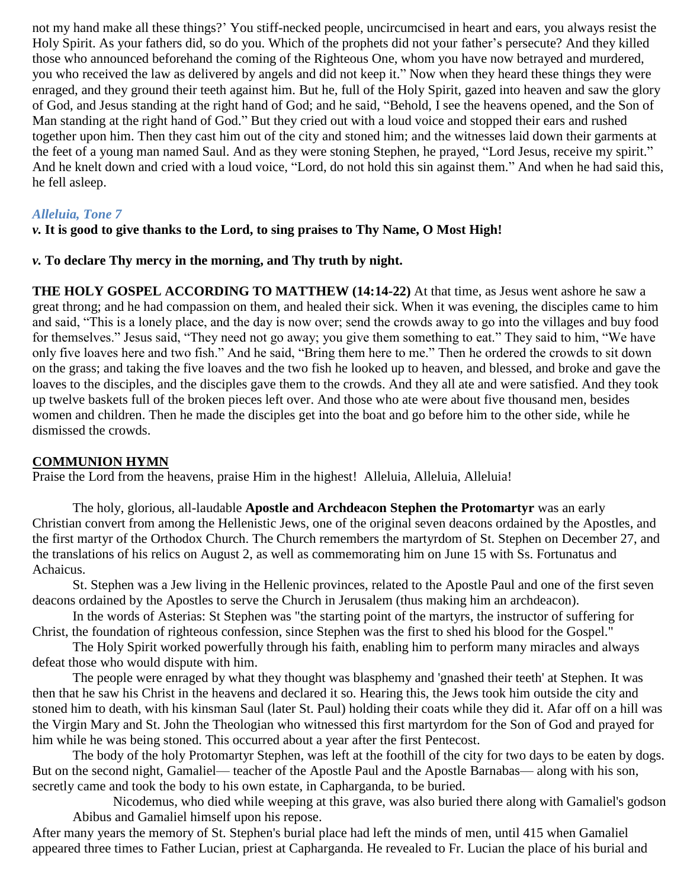not my hand make all these things?' You stiff-necked people, uncircumcised in heart and ears, you always resist the Holy Spirit. As your fathers did, so do you. Which of the prophets did not your father's persecute? And they killed those who announced beforehand the coming of the Righteous One, whom you have now betrayed and murdered, you who received the law as delivered by angels and did not keep it." Now when they heard these things they were enraged, and they ground their teeth against him. But he, full of the Holy Spirit, gazed into heaven and saw the glory of God, and Jesus standing at the right hand of God; and he said, "Behold, I see the heavens opened, and the Son of Man standing at the right hand of God." But they cried out with a loud voice and stopped their ears and rushed together upon him. Then they cast him out of the city and stoned him; and the witnesses laid down their garments at the feet of a young man named Saul. And as they were stoning Stephen, he prayed, "Lord Jesus, receive my spirit." And he knelt down and cried with a loud voice, "Lord, do not hold this sin against them." And when he had said this, he fell asleep.

#### *Alleluia, Tone 7*

#### *v.* **It is good to give thanks to the Lord, to sing praises to Thy Name, O Most High!**

#### *v.* **To declare Thy mercy in the morning, and Thy truth by night.**

**THE HOLY GOSPEL ACCORDING TO MATTHEW (14:14-22)** At that time, as Jesus went ashore he saw a great throng; and he had compassion on them, and healed their sick. When it was evening, the disciples came to him and said, "This is a lonely place, and the day is now over; send the crowds away to go into the villages and buy food for themselves." Jesus said, "They need not go away; you give them something to eat." They said to him, "We have only five loaves here and two fish." And he said, "Bring them here to me." Then he ordered the crowds to sit down on the grass; and taking the five loaves and the two fish he looked up to heaven, and blessed, and broke and gave the loaves to the disciples, and the disciples gave them to the crowds. And they all ate and were satisfied. And they took up twelve baskets full of the broken pieces left over. And those who ate were about five thousand men, besides women and children. Then he made the disciples get into the boat and go before him to the other side, while he dismissed the crowds.

#### **COMMUNION HYMN**

Praise the Lord from the heavens, praise Him in the highest! Alleluia, Alleluia, Alleluia!

The holy, glorious, all-laudable **Apostle and Archdeacon Stephen the Protomartyr** was an early Christian [convert](http://orthodoxwiki.org/Convert) from among the Hellenistic Jews, one of the original seven [deacons](http://orthodoxwiki.org/Deacon) [ordained](http://orthodoxwiki.org/Ordination) by the [Apostles,](http://orthodoxwiki.org/Apostles) and the first [martyr](http://orthodoxwiki.org/Martyr) of the [Orthodox Church.](http://orthodoxwiki.org/Orthodox_Church) The Church remembers the martyrdom of St. Stephen on [December 27,](http://orthodoxwiki.org/December_27) and the translations of his [relics](http://orthodoxwiki.org/Relics) on [August 2,](http://orthodoxwiki.org/August_2) as well as commemorating him on [June 15](http://orthodoxwiki.org/June_15) with Ss. [Fortunatus](http://orthodoxwiki.org/Apostle_Fortunatus) and [Achaicus.](http://orthodoxwiki.org/Apostle_Achaicus)

St. Stephen was a Jew living in the Hellenic provinces, related to the [Apostle Paul](http://orthodoxwiki.org/Apostle_Paul) and one of the first seven deacons ordained by the [Apostles](http://orthodoxwiki.org/Apostles) to serve the Church in Jerusalem (thus making him an archdeacon).

In the words of [Asterias:](http://orthodoxwiki.org/index.php?title=Asterias&action=edit&redlink=1) St Stephen was "the starting point of the martyrs, the instructor of suffering for Christ, the foundation of righteous confession, since Stephen was the first to shed his blood for the Gospel."

The [Holy Spirit](http://orthodoxwiki.org/Holy_Spirit) worked powerfully through his faith, enabling him to perform many [miracles](http://orthodoxwiki.org/Miracle) and always defeat those who would dispute with him.

The people were enraged by what they thought was blasphemy and 'gnashed their teeth' at Stephen. It was then that he saw his Christ in the heavens and declared it so. Hearing this, the Jews took him outside the city and stoned him to death, with his kinsman Saul (later St. Paul) holding their coats while they did it. Afar off on a hill was the [Virgin Mary](http://orthodoxwiki.org/Theotokos) and St. [John the Theologian](http://orthodoxwiki.org/Apostle_John) who witnessed this first martyrdom for the Son of God and prayed for him while he was being stoned. This occurred about a year after the first [Pentecost.](http://orthodoxwiki.org/Pentecost)

The body of the holy Protomartyr Stephen, was left at the foothill of the city for two days to be eaten by dogs. But on the second night, [Gamaliel—](http://orthodoxwiki.org/Gamaliel) teacher of the Apostle Paul and the [Apostle Barnabas—](http://orthodoxwiki.org/Apostle_Barnabas) along with his son, secretly came and took the body to his own estate, in Capharganda, to be buried.

[Nicodemus,](http://orthodoxwiki.org/Nicodemus_the_Righteous) who died while weeping at this grave, was also buried there along with Gamaliel's godson Abibus and Gamaliel himself upon his repose.

After many years the memory of St. Stephen's burial place had left the minds of men, until 415 when Gamaliel appeared three times to Father Lucian, [priest](http://orthodoxwiki.org/Priest) at Capharganda. He revealed to Fr. Lucian the place of his burial and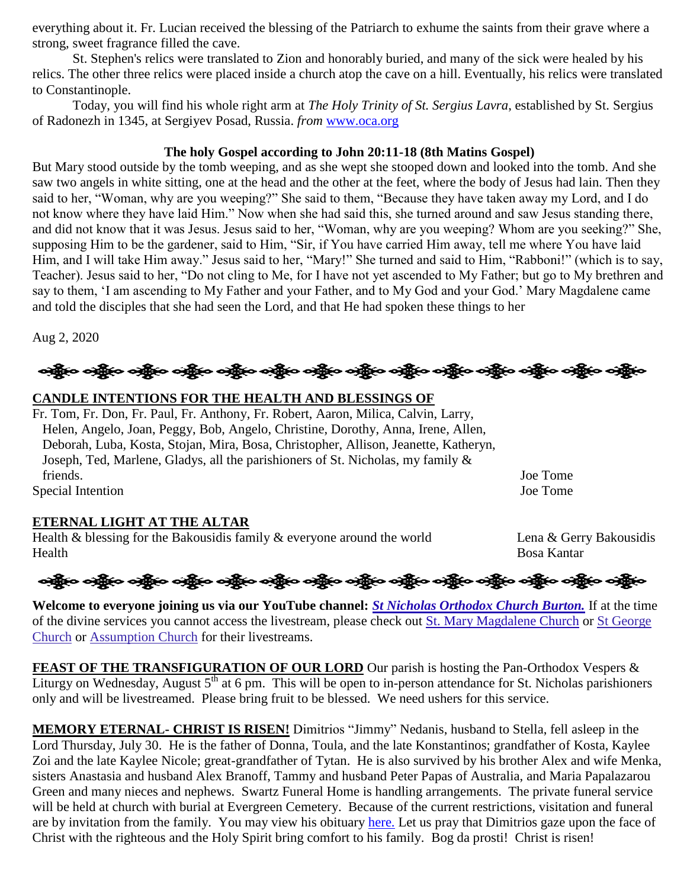everything about it. Fr. Lucian received the blessing of the [Patriarch](http://orthodoxwiki.org/Patriarch) to exhume the [saints](http://orthodoxwiki.org/Saint) from their grave where a strong, sweet fragrance filled the cave.

St. Stephen's [relics](http://orthodoxwiki.org/Relics) were translated to Zion and honorably buried, and many of the sick were healed by his relics. The other three relics were placed inside a church atop the cave on a hill. Eventually, his relics were translated to Constantinople.

Today, you will find his whole right arm at *The Holy Trinity of St. Sergius Lavra*, established by St. [Sergius](http://orthodoxwiki.org/Sergius_of_Radonezh)  [of Radonezh](http://orthodoxwiki.org/Sergius_of_Radonezh) in 1345, at Sergiyev Posad, Russia. *from* [www.oca.org](http://www.oca.org/)

#### **The holy Gospel according to John 20:11-18 (8th Matins Gospel)**

But Mary stood outside by the tomb weeping, and as she wept she stooped down and looked into the tomb. And she saw two angels in white sitting, one at the head and the other at the feet, where the body of Jesus had lain. Then they said to her, "Woman, why are you weeping?" She said to them, "Because they have taken away my Lord, and I do not know where they have laid Him." Now when she had said this, she turned around and saw Jesus standing there, and did not know that it was Jesus. Jesus said to her, "Woman, why are you weeping? Whom are you seeking?" She, supposing Him to be the gardener, said to Him, "Sir, if You have carried Him away, tell me where You have laid Him, and I will take Him away." Jesus said to her, "Mary!" She turned and said to Him, "Rabboni!" (which is to say, Teacher). Jesus said to her, "Do not cling to Me, for I have not yet ascended to My Father; but go to My brethren and say to them, 'I am ascending to My Father and your Father, and to My God and your God.' Mary Magdalene came and told the disciples that she had seen the Lord, and that He had spoken these things to her

Aug 2, 2020

န္ကြိုးေခါင္ဆိုးေခါင္ဆိုးေခါင္း ကိုင္း ခင္ဆိုးေခါင္ဆိုးေခါင္ဆိုးေခါင္း ကိုင္းေခါင္း ခင္ဆိုးေခါင္ဆိုးေခါင္ဆိုးေ

### **CANDLE INTENTIONS FOR THE HEALTH AND BLESSINGS OF**

Fr. Tom, Fr. Don, Fr. Paul, Fr. Anthony, Fr. Robert, Aaron, Milica, Calvin, Larry, Helen, Angelo, Joan, Peggy, Bob, Angelo, Christine, Dorothy, Anna, Irene, Allen, Deborah, Luba, Kosta, Stojan, Mira, Bosa, Christopher, Allison, Jeanette, Katheryn, Joseph, Ted, Marlene, Gladys, all the parishioners of St. Nicholas, my family & friends. Joe Tome Special Intention Joe Tome

# **ETERNAL LIGHT AT THE ALTAR**

Health  $\&$  blessing for the Bakousidis family  $\&$  everyone around the world Lena  $\&$  Gerry Bakousidis Health Bosa Kantar

ခရွို့လ ခရွို့လ ခရွို့လ ခရွို့လ ခရွို့လ ခရွို့လ ခရွို့လ ခရွို့လ ခရွို့လ ခရွို့လ ခရွို့လ ခရွို့လ ခရွို့လ ခရွို့လ

**Welcome to everyone joining us via our YouTube channel:** *[St Nicholas Orthodox Church Burton.](https://www.youtube.com/channel/UC59tV-Re443z-GCoETAUvfA)* If at the time of the divine services you cannot access the livestream, please check out [St. Mary Magdalene Church](https://www.youtube.com/channel/UClHAqZrWkXdYELujbbIslHg) or [St George](https://www.youtube.com/channel/UCpLWfxMIJK4uQOV41ekE6Wg/videos?view=2&flow=grid)  [Church](https://www.youtube.com/channel/UCpLWfxMIJK4uQOV41ekE6Wg/videos?view=2&flow=grid) or [Assumption Church](https://www.facebook.com/AssumptionGrandBlanc/) for their livestreams.

**FEAST OF THE TRANSFIGURATION OF OUR LORD** Our parish is hosting the Pan-Orthodox Vespers & Liturgy on Wednesday, August  $5<sup>th</sup>$  at 6 pm. This will be open to in-person attendance for St. Nicholas parishioners only and will be livestreamed. Please bring fruit to be blessed. We need ushers for this service.

**MEMORY ETERNAL- CHRIST IS RISEN!** Dimitrios "Jimmy" Nedanis, husband to Stella, fell asleep in the Lord Thursday, July 30. He is the father of Donna, Toula, and the late Konstantinos; grandfather of Kosta, Kaylee Zoi and the late Kaylee Nicole; great-grandfather of Tytan. He is also survived by his brother Alex and wife Menka, sisters Anastasia and husband Alex Branoff, Tammy and husband Peter Papas of Australia, and Maria Papalazarou Green and many nieces and nephews. Swartz Funeral Home is handling arrangements. The private funeral service will be held at church with burial at Evergreen Cemetery. Because of the current restrictions, visitation and funeral are by invitation from the family. You may view his obituary [here.](https://www.swartzfuneralhomeinc.com/obituary/dimitrios-medanis) Let us pray that Dimitrios gaze upon the face of Christ with the righteous and the Holy Spirit bring comfort to his family. Bog da prosti! Christ is risen!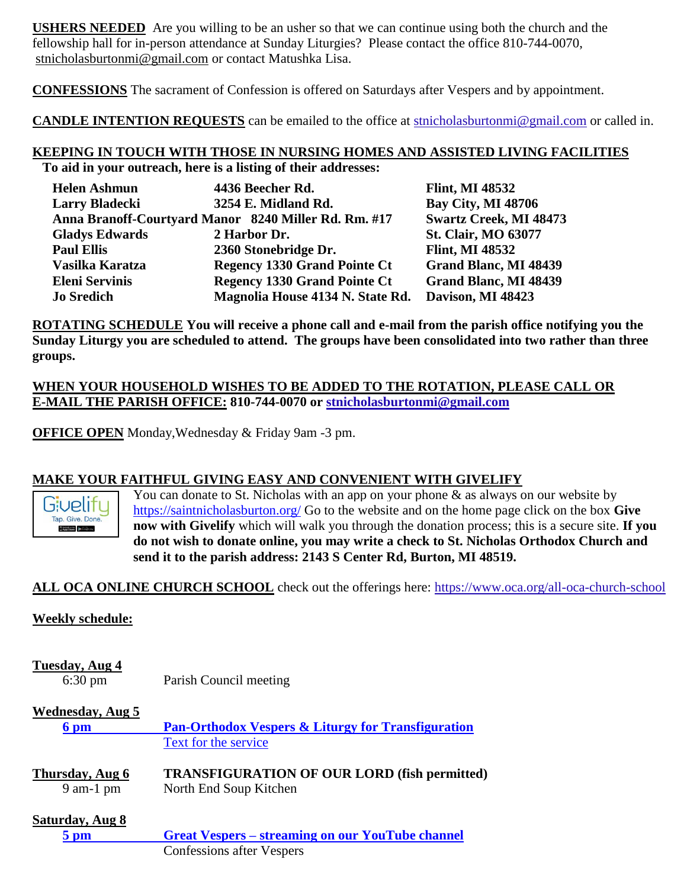**USHERS NEEDED** Are you willing to be an usher so that we can continue using both the church and the fellowship hall for in-person attendance at Sunday Liturgies? Please contact the office 810-744-0070, [stnicholasburtonmi@gmail.com](mailto:stnicholasburtonmi@gmail.com) or contact Matushka Lisa.

**CONFESSIONS** The sacrament of Confession is offered on Saturdays after Vespers and by appointment.

**CANDLE INTENTION REQUESTS** can be emailed to the office at [stnicholasburtonmi@gmail.com](mailto:stnicholasburtonmi@gmail.com) or called in.

# **KEEPING IN TOUCH WITH THOSE IN NURSING HOMES AND ASSISTED LIVING FACILITIES**

**To aid in your outreach, here is a listing of their addresses:**

| <b>Helen Ashmun</b>                                  | 4436 Beecher Rd.                    | <b>Flint, MI 48532</b>        |
|------------------------------------------------------|-------------------------------------|-------------------------------|
| <b>Larry Bladecki</b>                                | 3254 E. Midland Rd.                 | <b>Bay City, MI 48706</b>     |
| Anna Branoff-Courtyard Manor 8240 Miller Rd. Rm. #17 |                                     | <b>Swartz Creek, MI 48473</b> |
| <b>Gladys Edwards</b>                                | 2 Harbor Dr.                        | <b>St. Clair, MO 63077</b>    |
| <b>Paul Ellis</b>                                    | 2360 Stonebridge Dr.                | <b>Flint, MI 48532</b>        |
| Vasilka Karatza                                      | <b>Regency 1330 Grand Pointe Ct</b> | <b>Grand Blanc, MI 48439</b>  |
| <b>Eleni Servinis</b>                                | <b>Regency 1330 Grand Pointe Ct</b> | <b>Grand Blanc, MI 48439</b>  |
| <b>Jo Sredich</b>                                    | Magnolia House 4134 N. State Rd.    | Davison, MI 48423             |

**ROTATING SCHEDULE You will receive a phone call and e-mail from the parish office notifying you the Sunday Liturgy you are scheduled to attend. The groups have been consolidated into two rather than three groups.**

## **WHEN YOUR HOUSEHOLD WISHES TO BE ADDED TO THE ROTATION, PLEASE CALL OR E-MAIL THE PARISH OFFICE: 810-744-0070 or [stnicholasburtonmi@gmail.com](mailto:stnicholasburtonmi@gmail.com)**

**OFFICE OPEN** Monday,Wednesday & Friday 9am -3 pm.

# **MAKE YOUR FAITHFUL GIVING EASY AND CONVENIENT WITH GIVELIFY**



You can donate to St. Nicholas with an app on your phone  $\&$  as always on our website by <https://saintnicholasburton.org/> Go to the website and on the home page click on the box **Give now with Givelify** which will walk you through the donation process; this is a secure site. **If you do not wish to donate online, you may write a check to St. Nicholas Orthodox Church and send it to the parish address: 2143 S Center Rd, Burton, MI 48519.**

# **ALL OCA ONLINE CHURCH SCHOOL** check out the offerings here:<https://www.oca.org/all-oca-church-school>

#### **Weekly schedule:**

# **Tuesday, Aug 4**

6:30 pm Parish Council meeting

#### **Wednesday, Aug 5**

| 6 pm                                     | <b>Pan-Orthodox Vespers &amp; Liturgy for Transfiguration</b>                 |  |
|------------------------------------------|-------------------------------------------------------------------------------|--|
|                                          | Text for the service                                                          |  |
| Thursday, Aug 6<br>$9$ am-1 pm           | <b>TRANSFIGURATION OF OUR LORD (fish permitted)</b><br>North End Soup Kitchen |  |
| <b>Saturday, Aug 8</b><br>$5 \text{ pm}$ | <b>Great Vespers – streaming on our YouTube channel</b>                       |  |

Confessions after Vespers